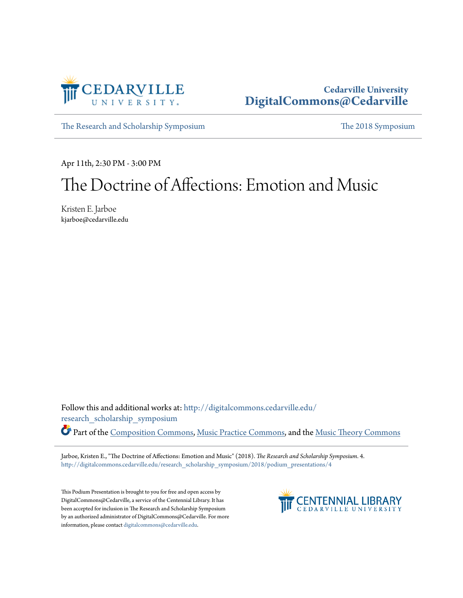

### **Cedarville University [DigitalCommons@Cedarville](http://digitalcommons.cedarville.edu?utm_source=digitalcommons.cedarville.edu%2Fresearch_scholarship_symposium%2F2018%2Fpodium_presentations%2F4&utm_medium=PDF&utm_campaign=PDFCoverPages)**

[The Research and Scholarship Symposium](http://digitalcommons.cedarville.edu/research_scholarship_symposium?utm_source=digitalcommons.cedarville.edu%2Fresearch_scholarship_symposium%2F2018%2Fpodium_presentations%2F4&utm_medium=PDF&utm_campaign=PDFCoverPages) [The 2018 Symposium](http://digitalcommons.cedarville.edu/research_scholarship_symposium/2018?utm_source=digitalcommons.cedarville.edu%2Fresearch_scholarship_symposium%2F2018%2Fpodium_presentations%2F4&utm_medium=PDF&utm_campaign=PDFCoverPages)

Apr 11th, 2:30 PM - 3:00 PM

### The Doctrine of Affections: Emotion and Music

Kristen E. Jarboe kjarboe@cedarville.edu

Follow this and additional works at: [http://digitalcommons.cedarville.edu/](http://digitalcommons.cedarville.edu/research_scholarship_symposium?utm_source=digitalcommons.cedarville.edu%2Fresearch_scholarship_symposium%2F2018%2Fpodium_presentations%2F4&utm_medium=PDF&utm_campaign=PDFCoverPages) [research\\_scholarship\\_symposium](http://digitalcommons.cedarville.edu/research_scholarship_symposium?utm_source=digitalcommons.cedarville.edu%2Fresearch_scholarship_symposium%2F2018%2Fpodium_presentations%2F4&utm_medium=PDF&utm_campaign=PDFCoverPages) Part of the [Composition Commons,](http://network.bepress.com/hgg/discipline/519?utm_source=digitalcommons.cedarville.edu%2Fresearch_scholarship_symposium%2F2018%2Fpodium_presentations%2F4&utm_medium=PDF&utm_campaign=PDFCoverPages) [Music Practice Commons,](http://network.bepress.com/hgg/discipline/523?utm_source=digitalcommons.cedarville.edu%2Fresearch_scholarship_symposium%2F2018%2Fpodium_presentations%2F4&utm_medium=PDF&utm_campaign=PDFCoverPages) and the [Music Theory Commons](http://network.bepress.com/hgg/discipline/522?utm_source=digitalcommons.cedarville.edu%2Fresearch_scholarship_symposium%2F2018%2Fpodium_presentations%2F4&utm_medium=PDF&utm_campaign=PDFCoverPages)

Jarboe, Kristen E., "The Doctrine of Affections: Emotion and Music" (2018). *The Research and Scholarship Symposium*. 4. [http://digitalcommons.cedarville.edu/research\\_scholarship\\_symposium/2018/podium\\_presentations/4](http://digitalcommons.cedarville.edu/research_scholarship_symposium/2018/podium_presentations/4?utm_source=digitalcommons.cedarville.edu%2Fresearch_scholarship_symposium%2F2018%2Fpodium_presentations%2F4&utm_medium=PDF&utm_campaign=PDFCoverPages)

This Podium Presentation is brought to you for free and open access by DigitalCommons@Cedarville, a service of the Centennial Library. It has been accepted for inclusion in The Research and Scholarship Symposium by an authorized administrator of DigitalCommons@Cedarville. For more information, please contact [digitalcommons@cedarville.edu.](mailto:digitalcommons@cedarville.edu)

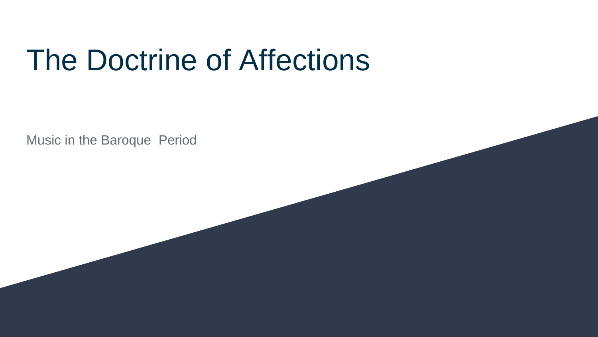# The Doctrine of Affections

Music in the Baroque Period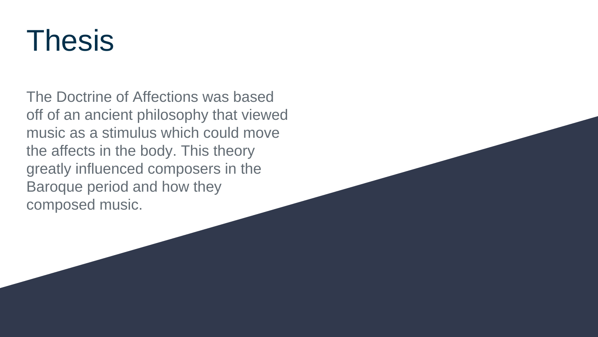# Thesis

The Doctrine of Affections was based off of an ancient philosophy that viewed music as a stimulus which could move the affects in the body. This theory greatly influenced composers in the Baroque period and how they composed music.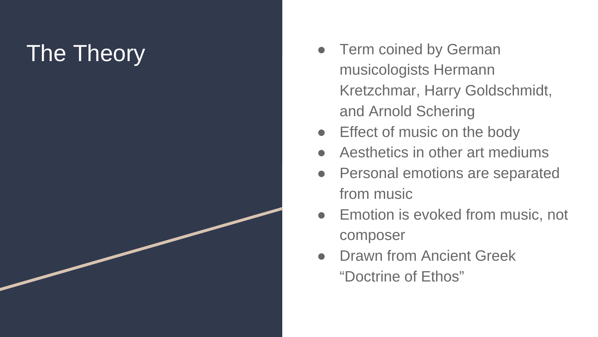# The Theory

- Term coined by German musicologists Hermann Kretzchmar, Harry Goldschmidt, and Arnold Schering
- **Effect of music on the body**
- Aesthetics in other art mediums
- **Personal emotions are separated** from music
- Emotion is evoked from music, not composer
- Drawn from Ancient Greek<br>"Doctrine of Ethos"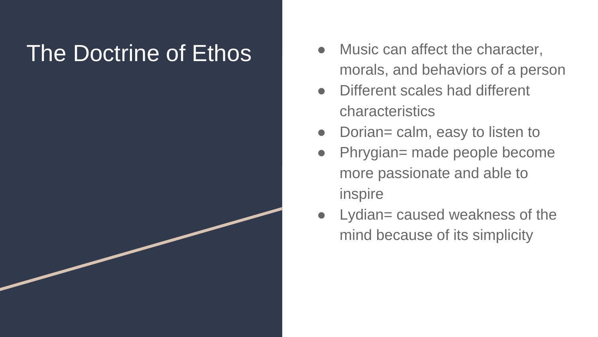- The Doctrine of Ethos <br> **Example 20** Music can affect the character, morals, and behaviors of a person
	- Different scales had different characteristics
	- Dorian= calm, easy to listen to
	- Phrygian= made people become more passionate and able to inspire
	- Lydian= caused weakness of the mind because of its simplicity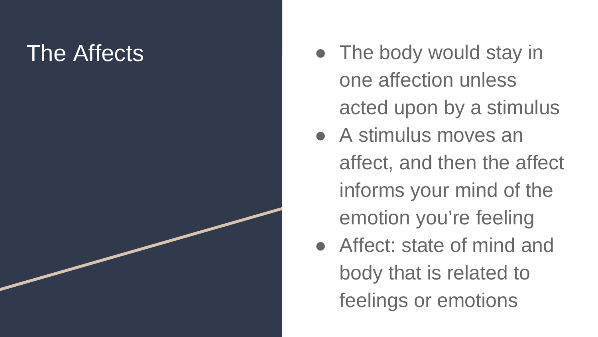- The Affects **Affects Contract Affects Contract Contract Affects Contract Affects** one affection unless acted upon by a stimulus
	- A stimulus moves an affect, and then the affect informs your mind of the emotion you're feeling
	- Affect: state of mind and body that is related to feelings or emotions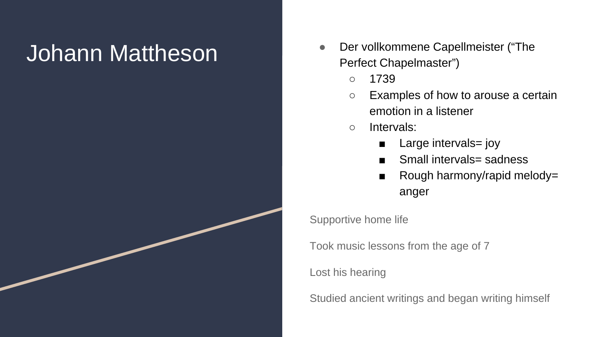- Johann Mattheson **Der vollkommene Capellmeister ("The** Perfect Chapelmaster")
	- 1739
	- Examples of how to arouse a certain emotion in a listener
	- Intervals:
		- Large intervals= joy
		- Small intervals= sadness
		- Rough harmony/rapid melody= anger

Supportive home life

Took music lessons from the age of 7

Lost his hearing

Studied ancient writings and began writing himself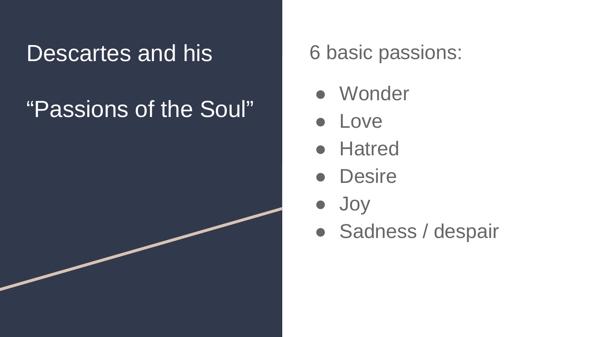### Descartes and his

# "Passions of the Soul"

### 6 basic passions:

- Wonder
- Love
- Hatred
- Desire
- Joy
- Sadness / despair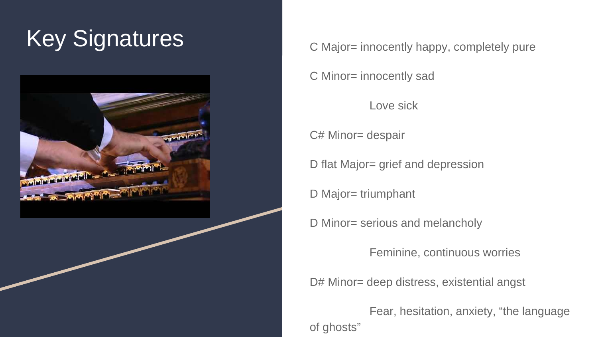## Key Signatures C Major= innocently happy, completely pure



C Minor= innocently sad

Love sick

C# Minor= despair

D flat Major= grief and depression

D Major= triumphant

D Minor= serious and melancholy

Feminine, continuous worries

D# Minor= deep distress, existential angst

Fear, hesitation, anxiety, "the language of ghosts"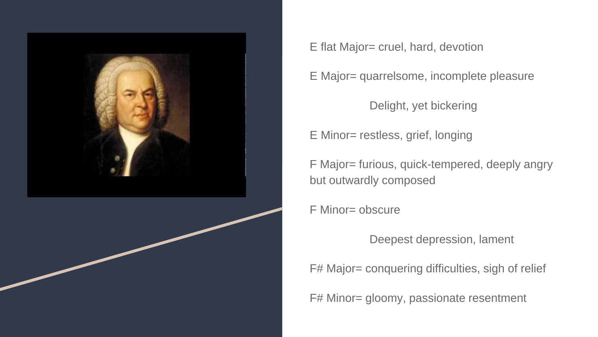

E flat Major= cruel, hard, devotion

E Major= quarrelsome, incomplete pleasure

Delight, yet bickering

E Minor= restless, grief, longing

F Major= furious, quick-tempered, deeply angry but outwardly composed

F Minor= obscure

Deepest depression, lament

F# Major= conquering difficulties, sigh of relief

F# Minor= gloomy, passionate resentment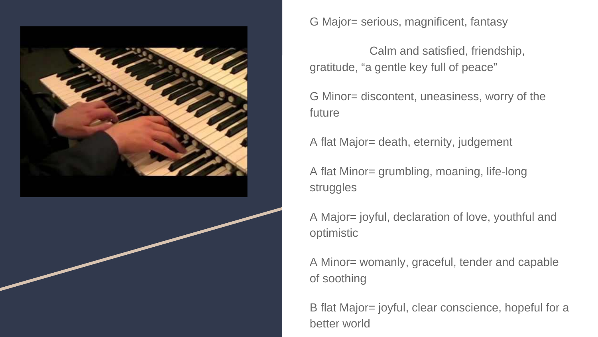

G Major= serious, magnificent, fantasy

Calm and satisfied, friendship, gratitude, "a gentle key full of peace"

G Minor= discontent, uneasiness, worry of the future

A flat Major= death, eternity, judgement

A flat Minor= grumbling, moaning, life-long struggles

A Major= joyful, declaration of love, youthful and optimistic

A Minor= womanly, graceful, tender and capable of soothing

B flat Major= joyful, clear conscience, hopeful for a better world